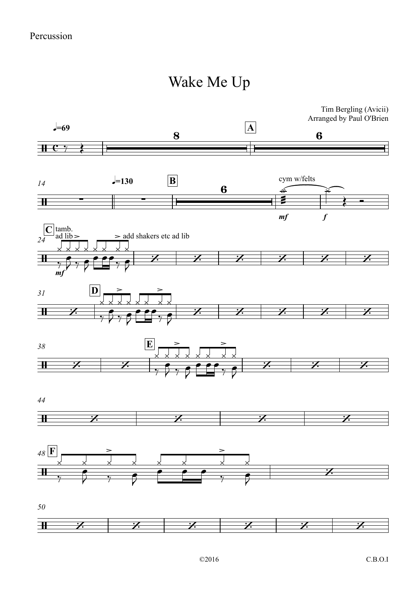## Wake Me Up

Tim Bergling (Avicii) Arranged by Paul O'Brien